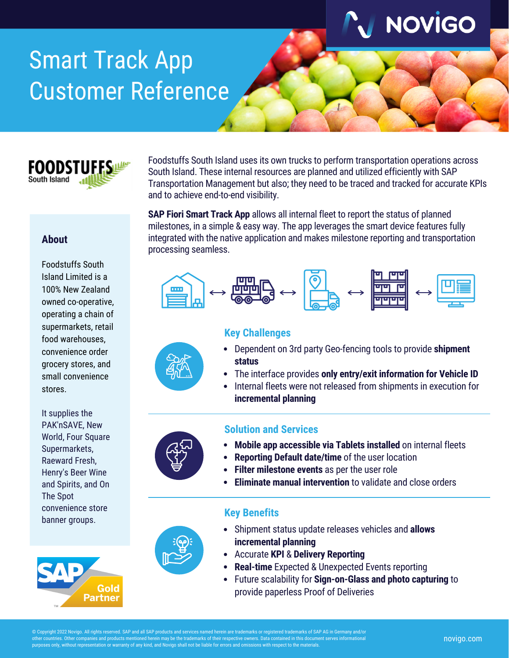

# Smart Track App Customer Reference



**About**

stores.

Foodstuffs South Island Limited is a 100% New Zealand owned co-operative, operating a chain of supermarkets, retail food warehouses,

Foodstuffs South Island uses its own trucks to perform transportation operations across South Island. These internal resources are planned and utilized efficiently with SAP Transportation Management but also; they need to be traced and tracked for accurate KPIs and to achieve end-to-end visibility.

**SAP Fiori Smart Track App** allows all internal fleet to report the status of planned milestones, in a simple & easy way. The app leverages the smart device features fully integrated with the native application and makes milestone reporting and transportation processing seamless.



### **Key Challenges**

- Dependent on 3rd party Geo-fencing tools to provide **shipment status**
- The interface provides **only entry/exit information for Vehicle ID**
- Internal fleets were not released from shipments in execution for **incremental planning**







- **Mobile app accessible via Tablets installed** on internal fleets  $\bullet$
- **Reporting Default date/time** of the user location
- **Filter milestone events** as per the user role
- **Eliminate manual intervention** to validate and close orders

### **Key Benefits**

- Shipment status update releases vehicles and **allows incremental planning** Accurate **KPI** & **Delivery Reporting**
	- **Real-time** Expected & Unexpected Events reporting
	- Future scalability for **Sign-on-Glass and photo capturing** to provide paperless Proof of Deliveries

convenience order grocery stores, and small convenience

pyright 2022 Novigo. All rights reserved. SAP and all SAP products and services named herein are trademarks or registered trademarks of SAP AG in Germany and/o ther countries. Other companies and products mentioned herein may be the trademarks of their respective owners. Data contained in this document serves informational bes only, without representation or warranty of any kind, and Novigo shall not be liable for errors and omissions with respect to the materials